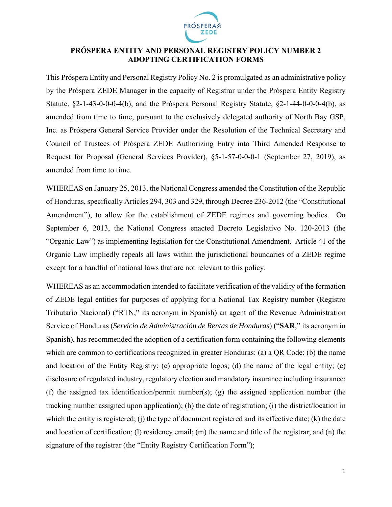

#### **PRÓSPERA ENTITY AND PERSONAL REGISTRY POLICY NUMBER 2 ADOPTING CERTIFICATION FORMS**

This Próspera Entity and Personal Registry Policy No. 2 is promulgated as an administrative policy by the Próspera ZEDE Manager in the capacity of Registrar under the Próspera Entity Registry Statute, §2-1-43-0-0-0-4(b), and the Próspera Personal Registry Statute, §2-1-44-0-0-0-4(b), as amended from time to time, pursuant to the exclusively delegated authority of North Bay GSP, Inc. as Próspera General Service Provider under the Resolution of the Technical Secretary and Council of Trustees of Próspera ZEDE Authorizing Entry into Third Amended Response to Request for Proposal (General Services Provider), §5-1-57-0-0-0-1 (September 27, 2019), as amended from time to time.

WHEREAS on January 25, 2013, the National Congress amended the Constitution of the Republic of Honduras, specifically Articles 294, 303 and 329, through Decree 236-2012 (the "Constitutional Amendment"), to allow for the establishment of ZEDE regimes and governing bodies. On September 6, 2013, the National Congress enacted Decreto Legislativo No. 120-2013 (the "Organic Law") as implementing legislation for the Constitutional Amendment. Article 41 of the Organic Law impliedly repeals all laws within the jurisdictional boundaries of a ZEDE regime except for a handful of national laws that are not relevant to this policy.

WHEREAS as an accommodation intended to facilitate verification of the validity of the formation of ZEDE legal entities for purposes of applying for a National Tax Registry number (Registro Tributario Nacional) ("RTN," its acronym in Spanish) an agent of the Revenue Administration Service of Honduras (*Servicio de Administración de Rentas de Honduras*) ("**SAR**," its acronym in Spanish), has recommended the adoption of a certification form containing the following elements which are common to certifications recognized in greater Honduras: (a) a QR Code; (b) the name and location of the Entity Registry; (c) appropriate logos; (d) the name of the legal entity; (e) disclosure of regulated industry, regulatory election and mandatory insurance including insurance; (f) the assigned tax identification/permit number(s); (g) the assigned application number (the tracking number assigned upon application); (h) the date of registration; (i) the district/location in which the entity is registered; (j) the type of document registered and its effective date; (k) the date and location of certification; (l) residency email; (m) the name and title of the registrar; and (n) the signature of the registrar (the "Entity Registry Certification Form");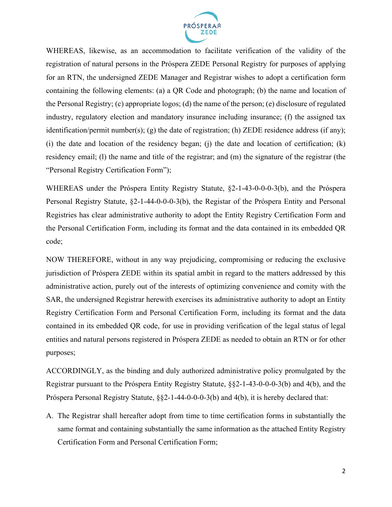

WHEREAS, likewise, as an accommodation to facilitate verification of the validity of the registration of natural persons in the Próspera ZEDE Personal Registry for purposes of applying for an RTN, the undersigned ZEDE Manager and Registrar wishes to adopt a certification form containing the following elements: (a) a QR Code and photograph; (b) the name and location of the Personal Registry; (c) appropriate logos; (d) the name of the person; (e) disclosure of regulated industry, regulatory election and mandatory insurance including insurance; (f) the assigned tax identification/permit number(s); (g) the date of registration; (h) ZEDE residence address (if any); (i) the date and location of the residency began; (j) the date and location of certification; (k) residency email; (l) the name and title of the registrar; and (m) the signature of the registrar (the "Personal Registry Certification Form");

WHEREAS under the Próspera Entity Registry Statute, §2-1-43-0-0-0-3(b), and the Próspera Personal Registry Statute, §2-1-44-0-0-0-3(b), the Registar of the Próspera Entity and Personal Registries has clear administrative authority to adopt the Entity Registry Certification Form and the Personal Certification Form, including its format and the data contained in its embedded QR code;

NOW THEREFORE, without in any way prejudicing, compromising or reducing the exclusive jurisdiction of Próspera ZEDE within its spatial ambit in regard to the matters addressed by this administrative action, purely out of the interests of optimizing convenience and comity with the SAR, the undersigned Registrar herewith exercises its administrative authority to adopt an Entity Registry Certification Form and Personal Certification Form, including its format and the data contained in its embedded QR code, for use in providing verification of the legal status of legal entities and natural persons registered in Próspera ZEDE as needed to obtain an RTN or for other purposes;

ACCORDINGLY, as the binding and duly authorized administrative policy promulgated by the Registrar pursuant to the Próspera Entity Registry Statute, §§2-1-43-0-0-0-3(b) and 4(b), and the Próspera Personal Registry Statute, §§2-1-44-0-0-0-3(b) and 4(b), it is hereby declared that:

A. The Registrar shall hereafter adopt from time to time certification forms in substantially the same format and containing substantially the same information as the attached Entity Registry Certification Form and Personal Certification Form;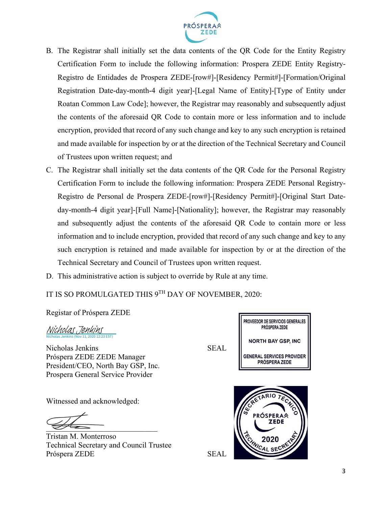

- B. The Registrar shall initially set the data contents of the QR Code for the Entity Registry Certification Form to include the following information: Prospera ZEDE Entity Registry-Registro de Entidades de Prospera ZEDE-[row#]-[Residency Permit#]-[Formation/Original Registration Date-day-month-4 digit year]-[Legal Name of Entity]-[Type of Entity under Roatan Common Law Code]; however, the Registrar may reasonably and subsequently adjust the contents of the aforesaid QR Code to contain more or less information and to include encryption, provided that record of any such change and key to any such encryption is retained and made available for inspection by or at the direction of the Technical Secretary and Council of Trustees upon written request; and
- C. The Registrar shall initially set the data contents of the QR Code for the Personal Registry Certification Form to include the following information: Prospera ZEDE Personal Registry-Registro de Personal de Prospera ZEDE-[row#]-[Residency Permit#]-[Original Start Dateday-month-4 digit year]-[Full Name]-[Nationality]; however, the Registrar may reasonably and subsequently adjust the contents of the aforesaid QR Code to contain more or less information and to include encryption, provided that record of any such change and key to any such encryption is retained and made available for inspection by or at the direction of the Technical Secretary and Council of Trustees upon written request.
- D. This administrative action is subject to override by Rule at any time.

IT IS SO PROMULGATED THIS 9TH DAY OF NOVEMBER, 2020:

Registar of Próspera ZEDE

Nicholas Jenkins (Nov 11, 2020 12:23 EST) [Nicholas Jenkins](https://eu1.documents.adobe.com/verifier?tx=CBJCHBCAABAA4MnwqM8r77YT_3OqppVhYhxmy9FTWMMp)

Nicholas Jenkins SEAL Próspera ZEDE ZEDE Manager President/CEO, North Bay GSP, Inc. Prospera General Service Provider

Witnessed and acknowledged:

 $\overline{\mathcal{L}}$ 

Tristan M. Monterroso Technical Secretary and Council Trustee Próspera ZEDE SEAL

PROVEEDOR DE SERVICIOS GENERALES PRÓSPERA ZEDE **NORTH BAY GSP, INC GENERAL SERVICES PROVIDER** PRÓSPERA ZEDE

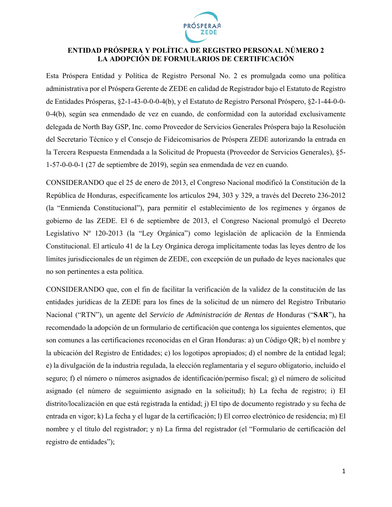

#### **ENTIDAD PRÓSPERA Y POLÍTICA DE REGISTRO PERSONAL NÚMERO 2 LA ADOPCIÓN DE FORMULARIOS DE CERTIFICACIÓN**

Esta Próspera Entidad y Política de Registro Personal No. 2 es promulgada como una política administrativa por el Próspera Gerente de ZEDE en calidad de Registrador bajo el Estatuto de Registro de Entidades Prósperas, §2-1-43-0-0-0-4(b), y el Estatuto de Registro Personal Próspero, §2-1-44-0-0- 0-4(b), según sea enmendado de vez en cuando, de conformidad con la autoridad exclusivamente delegada de North Bay GSP, Inc. como Proveedor de Servicios Generales Próspera bajo la Resolución del Secretario Técnico y el Consejo de Fideicomisarios de Próspera ZEDE autorizando la entrada en la Tercera Respuesta Enmendada a la Solicitud de Propuesta (Proveedor de Servicios Generales), §5- 1-57-0-0-0-1 (27 de septiembre de 2019), según sea enmendada de vez en cuando.

CONSIDERANDO que el 25 de enero de 2013, el Congreso Nacional modificó la Constitución de la República de Honduras, específicamente los artículos 294, 303 y 329, a través del Decreto 236-2012 (la "Enmienda Constitucional"), para permitir el establecimiento de los regímenes y órganos de gobierno de las ZEDE. El 6 de septiembre de 2013, el Congreso Nacional promulgó el Decreto Legislativo Nº 120-2013 (la "Ley Orgánica") como legislación de aplicación de la Enmienda Constitucional. El artículo 41 de la Ley Orgánica deroga implícitamente todas las leyes dentro de los límites jurisdiccionales de un régimen de ZEDE, con excepción de un puñado de leyes nacionales que no son pertinentes a esta política.

CONSIDERANDO que, con el fin de facilitar la verificación de la validez de la constitución de las entidades jurídicas de la ZEDE para los fines de la solicitud de un número del Registro Tributario Nacional ("RTN"), un agente del *Servicio de Administración de Rentas de* Honduras ("**SAR**"), ha recomendado la adopción de un formulario de certificación que contenga los siguientes elementos, que son comunes a las certificaciones reconocidas en el Gran Honduras: a) un Código QR; b) el nombre y la ubicación del Registro de Entidades; c) los logotipos apropiados; d) el nombre de la entidad legal; e) la divulgación de la industria regulada, la elección reglamentaria y el seguro obligatorio, incluido el seguro; f) el número o números asignados de identificación/permiso fiscal; g) el número de solicitud asignado (el número de seguimiento asignado en la solicitud); h) La fecha de registro; i) El distrito/localización en que está registrada la entidad; j) El tipo de documento registrado y su fecha de entrada en vigor; k) La fecha y el lugar de la certificación; l) El correo electrónico de residencia; m) El nombre y el título del registrador; y n) La firma del registrador (el "Formulario de certificación del registro de entidades");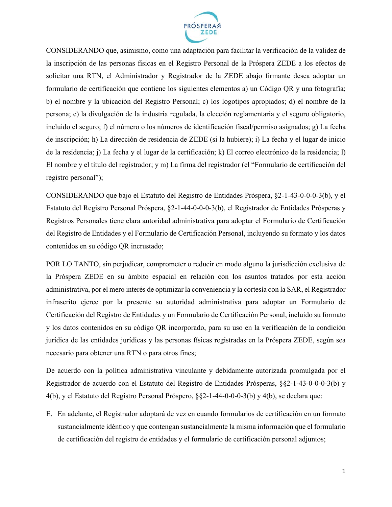

CONSIDERANDO que, asimismo, como una adaptación para facilitar la verificación de la validez de la inscripción de las personas físicas en el Registro Personal de la Próspera ZEDE a los efectos de solicitar una RTN, el Administrador y Registrador de la ZEDE abajo firmante desea adoptar un formulario de certificación que contiene los siguientes elementos a) un Código QR y una fotografía; b) el nombre y la ubicación del Registro Personal; c) los logotipos apropiados; d) el nombre de la persona; e) la divulgación de la industria regulada, la elección reglamentaria y el seguro obligatorio, incluido el seguro; f) el número o los números de identificación fiscal/permiso asignados; g) La fecha de inscripción; h) La dirección de residencia de ZEDE (si la hubiere); i) La fecha y el lugar de inicio de la residencia; j) La fecha y el lugar de la certificación; k) El correo electrónico de la residencia; l) El nombre y el título del registrador; y m) La firma del registrador (el "Formulario de certificación del registro personal");

CONSIDERANDO que bajo el Estatuto del Registro de Entidades Próspera, §2-1-43-0-0-0-3(b), y el Estatuto del Registro Personal Próspera, §2-1-44-0-0-0-3(b), el Registrador de Entidades Prósperas y Registros Personales tiene clara autoridad administrativa para adoptar el Formulario de Certificación del Registro de Entidades y el Formulario de Certificación Personal, incluyendo su formato y los datos contenidos en su código QR incrustado;

POR LO TANTO, sin perjudicar, comprometer o reducir en modo alguno la jurisdicción exclusiva de la Próspera ZEDE en su ámbito espacial en relación con los asuntos tratados por esta acción administrativa, por el mero interés de optimizar la conveniencia y la cortesía con la SAR, el Registrador infrascrito ejerce por la presente su autoridad administrativa para adoptar un Formulario de Certificación del Registro de Entidades y un Formulario de Certificación Personal, incluido su formato y los datos contenidos en su código QR incorporado, para su uso en la verificación de la condición jurídica de las entidades jurídicas y las personas físicas registradas en la Próspera ZEDE, según sea necesario para obtener una RTN o para otros fines;

De acuerdo con la política administrativa vinculante y debidamente autorizada promulgada por el Registrador de acuerdo con el Estatuto del Registro de Entidades Prósperas, §§2-1-43-0-0-0-3(b) y 4(b), y el Estatuto del Registro Personal Próspero, §§2-1-44-0-0-0-3(b) y 4(b), se declara que:

E. En adelante, el Registrador adoptará de vez en cuando formularios de certificación en un formato sustancialmente idéntico y que contengan sustancialmente la misma información que el formulario de certificación del registro de entidades y el formulario de certificación personal adjuntos;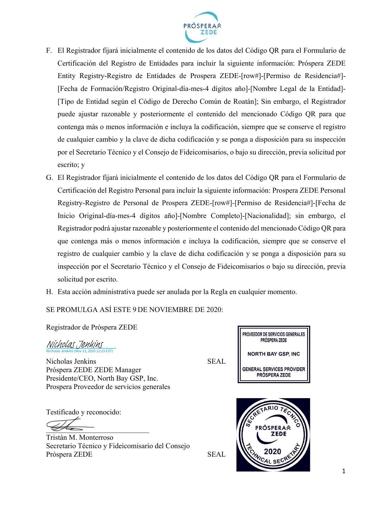

- F. El Registrador fijará inicialmente el contenido de los datos del Código QR para el Formulario de Certificación del Registro de Entidades para incluir la siguiente información: Próspera ZEDE Entity Registry-Registro de Entidades de Prospera ZEDE-[row#]-[Permiso de Residencia#]- [Fecha de Formación/Registro Original-día-mes-4 dígitos año]-[Nombre Legal de la Entidad]- [Tipo de Entidad según el Código de Derecho Común de Roatán]; Sin embargo, el Registrador puede ajustar razonable y posteriormente el contenido del mencionado Código QR para que contenga más o menos información e incluya la codificación, siempre que se conserve el registro de cualquier cambio y la clave de dicha codificación y se ponga a disposición para su inspección por el Secretario Técnico y el Consejo de Fideicomisarios, o bajo su dirección, previa solicitud por escrito; y
- G. El Registrador fijará inicialmente el contenido de los datos del Código QR para el Formulario de Certificación del Registro Personal para incluir la siguiente información: Prospera ZEDE Personal Registry-Registro de Personal de Prospera ZEDE-[row#]-[Permiso de Residencia#]-[Fecha de Inicio Original-día-mes-4 dígitos año]-[Nombre Completo]-[Nacionalidad]; sin embargo, el Registrador podrá ajustar razonable y posteriormente el contenido del mencionado Código QR para que contenga más o menos información e incluya la codificación, siempre que se conserve el registro de cualquier cambio y la clave de dicha codificación y se ponga a disposición para su inspección por el Secretario Técnico y el Consejo de Fideicomisarios o bajo su dirección, previa solicitud por escrito.
- H. Esta acción administrativa puede ser anulada por la Regla en cualquier momento.

## SE PROMULGA ASÍ ESTE 9 DE NOVIEMBRE DE 2020:

Registrador de Próspera ZEDE

Nicholas Jenkins (Nov 11, 2020 12:23 EST) [Nicholas Jenkins](https://eu1.documents.adobe.com/verifier?tx=CBJCHBCAABAA4MnwqM8r77YT_3OqppVhYhxmy9FTWMMp)

Nicholas Jenkins SEAL Próspera ZEDE ZEDE Manager Presidente/CEO, North Bay GSP, Inc. Prospera Proveedor de servicios generales

Testificado y reconocido:

 $\overline{\mathscr{B}}$ 

Tristán M. Monterroso Secretario Técnico y Fideicomisario del Consejo Próspera ZEDE SEAL

PROVEEDOR DE SERVICIOS GENERALES PRÓSPERA ZEDE **NORTH BAY GSP. INC. GENERAL SERVICES PROVIDER PRÓSPERA ZEDE** 

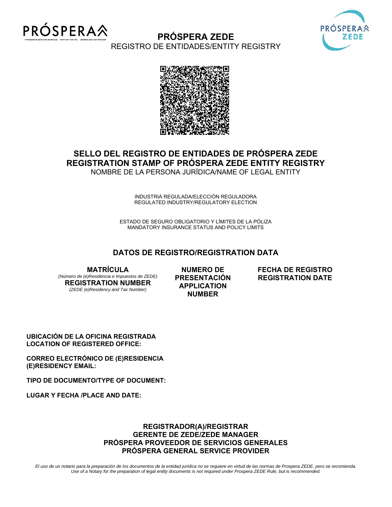

# **PRÓSPERA ZEDE**



REGISTRO DE ENTIDADES/ENTITY REGISTRY



#### **SELLO DEL REGISTRO DE ENTIDADES DE PRÓSPERA ZEDE REGISTRATION STAMP OF PRÓSPERA ZEDE ENTITY REGISTRY** NOMBRE DE LA PERSONA JURÍDICA/NAME OF LEGAL ENTITY

INDUSTRIA REGULADA/ELECCIÓN REGULADORA REGULATED INDUSTRY/REGULATORY ELECTION

ESTADO DE SEGURO OBLIGATORIO Y LÍMITES DE LA PÓLIZA MANDATORY INSURANCE STATUS AND POLICY LIMITS

#### **DATOS DE REGISTRO/REGISTRATION DATA**

**MATRÍCULA** 

*(Número de (e)Residencia e Impuestos de ZEDE)*  **REGISTRATION NUMBER**  *(ZEDE (e)Residency and Tax Number)* 

**NUMERO DE PRESENTACIÓN APPLICATION NUMBER** 

**FECHA DE REGISTRO REGISTRATION DATE** 

**UBICACIÓN DE LA OFICINA REGISTRADA LOCATION OF REGISTERED OFFICE:** 

**CORREO ELECTRÓNICO DE (E)RESIDENCIA (E)RESIDENCY EMAIL:** 

**TIPO DE DOCUMENTO/TYPE OF DOCUMENT:** 

**LUGAR Y FECHA /PLACE AND DATE:** 

#### **REGISTRADOR(A)/REGISTRAR GERENTE DE ZEDE/ZEDE MANAGER PRÓSPERA PROVEEDOR DE SERVICIOS GENERALES PRÓSPERA GENERAL SERVICE PROVIDER**

*El uso de un notario para la preparación de los documentos de la entidad jurídica no se requiere en virtud de las normas de Prospera ZEDE, pero se recomienda. Use of a Notary for the preparation of legal entity documents is not required under Prospera ZEDE Rule, but is recommended.*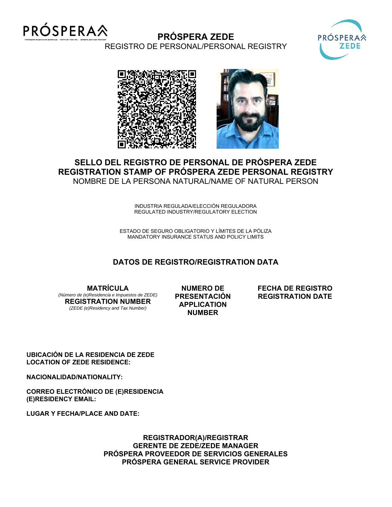

# **PRÓSPERA ZEDE**



REGISTRO DE PERSONAL/PERSONAL REGISTRY



# **SELLO DEL REGISTRO DE PERSONAL DE PRÓSPERA ZEDE REGISTRATION STAMP OF PRÓSPERA ZEDE PERSONAL REGISTRY** NOMBRE DE LA PERSONA NATURAL/NAME OF NATURAL PERSON

INDUSTRIA REGULADA/ELECCIÓN REGULADORA REGULATED INDUSTRY/REGULATORY ELECTION

ESTADO DE SEGURO OBLIGATORIO Y LÍMITES DE LA PÓLIZA MANDATORY INSURANCE STATUS AND POLICY LIMITS

## **DATOS DE REGISTRO/REGISTRATION DATA**

**MATRÍCULA**  *(Número de (e)Residencia e Impuestos de ZEDE)*  **REGISTRATION NUMBER**  *(ZEDE (e)Residency and Tax Number)* 

**NUMERO DE PRESENTACIÓN APPLICATION NUMBER** 

**FECHA DE REGISTRO REGISTRATION DATE** 

**UBICACIÓN DE LA RESIDENCIA DE ZEDE LOCATION OF ZEDE RESIDENCE:** 

**NACIONALIDAD/NATIONALITY:** 

**CORREO ELECTRÓNICO DE (E)RESIDENCIA (E)RESIDENCY EMAIL:** 

**LUGAR Y FECHA/PLACE AND DATE:** 

**REGISTRADOR(A)/REGISTRAR GERENTE DE ZEDE/ZEDE MANAGER PRÓSPERA PROVEEDOR DE SERVICIOS GENERALES PRÓSPERA GENERAL SERVICE PROVIDER**